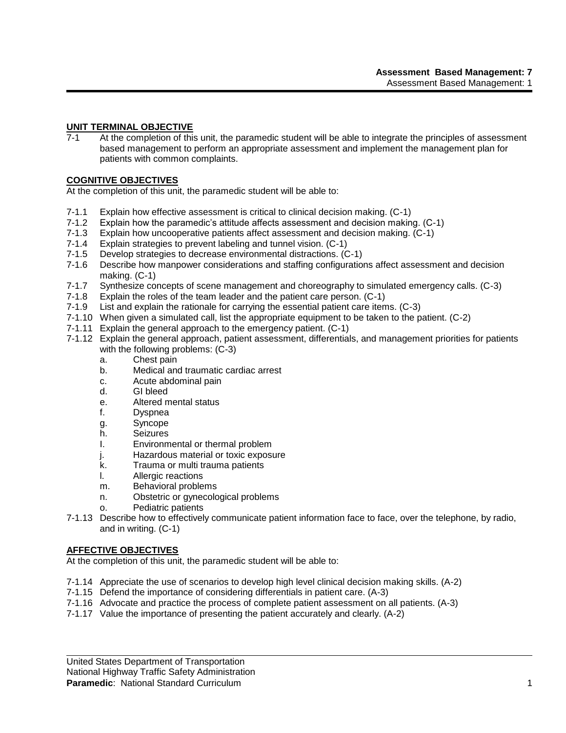# **UNIT TERMINAL OBJECTIVE**

7-1 At the completion of this unit, the paramedic student will be able to integrate the principles of assessment based management to perform an appropriate assessment and implement the management plan for patients with common complaints.

### **COGNITIVE OBJECTIVES**

At the completion of this unit, the paramedic student will be able to:

- 7-1.1 Explain how effective assessment is critical to clinical decision making. (C-1)
- 7-1.2 Explain how the paramedic's attitude affects assessment and decision making. (C-1)
- 7-1.3 Explain how uncooperative patients affect assessment and decision making. (C-1)<br>7-1.4 Explain strategies to prevent labeling and tunnel vision. (C-1)
- Explain strategies to prevent labeling and tunnel vision. (C-1)
- 7-1.5 Develop strategies to decrease environmental distractions. (C-1)
- 7-1.6 Describe how manpower considerations and staffing configurations affect assessment and decision making. (C-1)
- 7-1.7 Synthesize concepts of scene management and choreography to simulated emergency calls. (C-3)
- 7-1.8 Explain the roles of the team leader and the patient care person. (C-1)
- 7-1.9 List and explain the rationale for carrying the essential patient care items. (C-3)
- 7-1.10 When given a simulated call, list the appropriate equipment to be taken to the patient. (C-2)
- 7-1.11 Explain the general approach to the emergency patient. (C-1)
- 7-1.12 Explain the general approach, patient assessment, differentials, and management priorities for patients with the following problems: (C-3)
	- a. Chest pain
	- b. Medical and traumatic cardiac arrest
	- c. Acute abdominal pain
	- d. GI bleed
	- e. Altered mental status
	- f. Dyspnea
	- g. Syncope
	- h. Seizures
	- I. Environmental or thermal problem
	- j. Hazardous material or toxic exposure
	- k. Trauma or multi trauma patients
	- l. Allergic reactions
	- m. Behavioral problems
	- n. Obstetric or gynecological problems
	- o. Pediatric patients
- 7-1.13 Describe how to effectively communicate patient information face to face, over the telephone, by radio, and in writing. (C-1)

# **AFFECTIVE OBJECTIVES**

At the completion of this unit, the paramedic student will be able to:

- 7-1.14 Appreciate the use of scenarios to develop high level clinical decision making skills. (A-2)
- 7-1.15 Defend the importance of considering differentials in patient care. (A-3)
- 7-1.16 Advocate and practice the process of complete patient assessment on all patients. (A-3)
- 7-1.17 Value the importance of presenting the patient accurately and clearly. (A-2)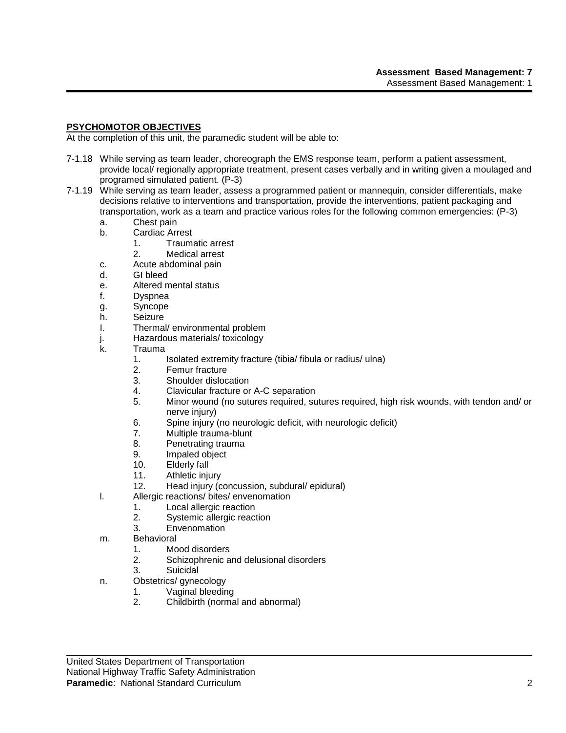# **PSYCHOMOTOR OBJECTIVES**

At the completion of this unit, the paramedic student will be able to:

- 7-1.18 While serving as team leader, choreograph the EMS response team, perform a patient assessment, provide local/ regionally appropriate treatment, present cases verbally and in writing given a moulaged and programed simulated patient. (P-3)
- 7-1.19 While serving as team leader, assess a programmed patient or mannequin, consider differentials, make decisions relative to interventions and transportation, provide the interventions, patient packaging and transportation, work as a team and practice various roles for the following common emergencies: (P-3)
	- a. Chest pain
	- b. Cardiac Arrest
		- 1. Traumatic arrest
		- 2. Medical arrest
	- c. Acute abdominal pain
	- d. GI bleed
	- e. Altered mental status
	- f. Dyspnea
	- g. Syncope
	- h. Seizure
	- I. Thermal/ environmental problem
	- j. Hazardous materials/ toxicology
	- k. Trauma
		- 1. Isolated extremity fracture (tibia/ fibula or radius/ ulna)
			- 2. Femur fracture
			- 3. Shoulder dislocation
			- 4. Clavicular fracture or A-C separation
			- 5. Minor wound (no sutures required, sutures required, high risk wounds, with tendon and/ or nerve injury)
			- 6. Spine injury (no neurologic deficit, with neurologic deficit)
			- 7. Multiple trauma-blunt
			- 8. Penetrating trauma
			- 9. Impaled object
			- 10. Elderly fall
			- 11. Athletic injury
		- 12. Head injury (concussion, subdural/ epidural)
	- l. Allergic reactions/ bites/ envenomation
		- 1. Local allergic reaction
		- 2. Systemic allergic reaction
		- 3. Envenomation
	- m. Behavioral
		- 1. Mood disorders
		- 2. Schizophrenic and delusional disorders
		- 3. Suicidal
	- n. Obstetrics/ gynecology
		- 1. Vaginal bleeding
		- 2. Childbirth (normal and abnormal)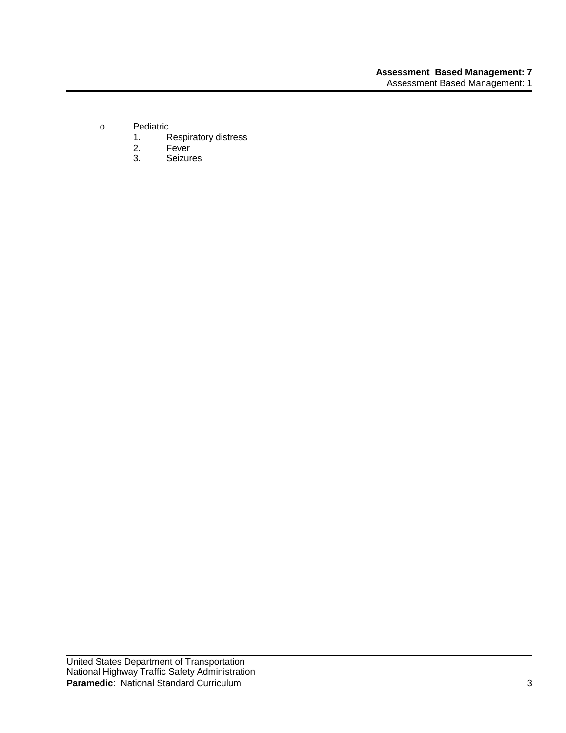- o. Pediatric<br>1. F
	- 1. Respiratory distress<br>2. Fever
	- 2. Fever<br>3. Seizur
	- **Seizures**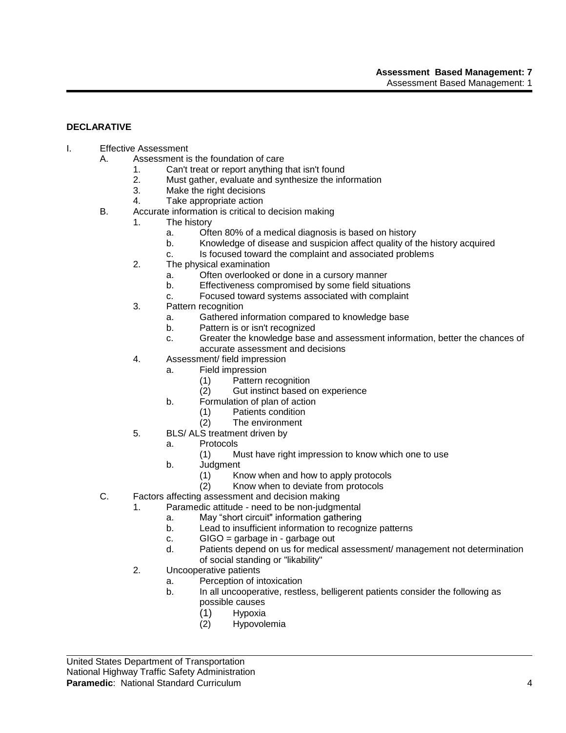# **DECLARATIVE**

- I. Effective Assessment
	- A. Assessment is the foundation of care
		- 1. Can't treat or report anything that isn't found
		- 2. Must gather, evaluate and synthesize the information
		- 3. Make the right decisions
		- 4. Take appropriate action
	- B. Accurate information is critical to decision making
		- 1. The history
			- a. Often 80% of a medical diagnosis is based on history
			- b. Knowledge of disease and suspicion affect quality of the history acquired
			- c. Is focused toward the complaint and associated problems
			- 2. The physical examination
				- a. Often overlooked or done in a cursory manner
				- b. Effectiveness compromised by some field situations
				- c. Focused toward systems associated with complaint
			- 3. Pattern recognition
				- a. Gathered information compared to knowledge base
				- b. Pattern is or isn't recognized
				- c. Greater the knowledge base and assessment information, better the chances of accurate assessment and decisions
			- 4. Assessment/ field impression
				- a. Field impression
					- (1) Pattern recognition
					- (2) Gut instinct based on experience
				- b. Formulation of plan of action
					- (1) Patients condition
					- (2) The environment
			- 5. BLS/ ALS treatment driven by
				- a. Protocols
					- (1) Must have right impression to know which one to use
				- b. Judgment
					- (1) Know when and how to apply protocols
					- (2) Know when to deviate from protocols
	- C. Factors affecting assessment and decision making
		- 1. Paramedic attitude need to be non-judgmental
			- a. May "short circuit" information gathering
			- b. Lead to insufficient information to recognize patterns
			- c.  $GIGO =$  garbage in garbage out
			- d. Patients depend on us for medical assessment/ management not determination of social standing or "likability"
		- 2. Uncooperative patients
			- a. Perception of intoxication
			- b. In all uncooperative, restless, belligerent patients consider the following as possible causes
				- (1) Hypoxia
				- (2) Hypovolemia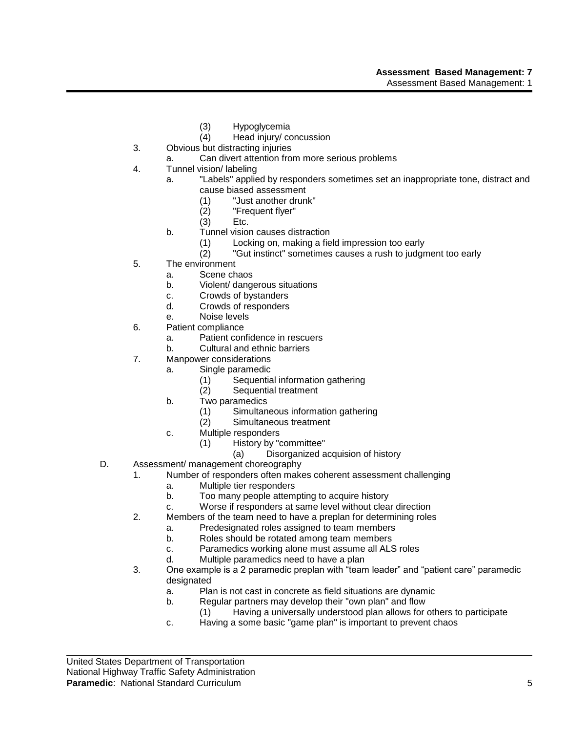- (3) Hypoglycemia
- (4) Head injury/ concussion
- 3. Obvious but distracting injuries
	- a. Can divert attention from more serious problems
- 4. Tunnel vision/ labeling
	- a. "Labels" applied by responders sometimes set an inappropriate tone, distract and cause biased assessment
		- (1) "Just another drunk"
		- (2) "Frequent flyer"
		- (3) Etc.
		- b. Tunnel vision causes distraction
			- (1) Locking on, making a field impression too early
			- (2) "Gut instinct" sometimes causes a rush to judgment too early
- 5. The environment
	- a. Scene chaos
	- b. Violent/ dangerous situations
	- c. Crowds of bystanders
	- d. Crowds of responders
	- e. Noise levels
- 6. Patient compliance
	- a. Patient confidence in rescuers
	- b. Cultural and ethnic barriers
- 7. Manpower considerations
	- a. Single paramedic
		- (1) Sequential information gathering
		- (2) Sequential treatment
	- b. Two paramedics
		- (1) Simultaneous information gathering
		- (2) Simultaneous treatment
	- c. Multiple responders
		- (1) History by "committee"
			- (a) Disorganized acquision of history
- D. Assessment/ management choreography
	- 1. Number of responders often makes coherent assessment challenging
		- a. Multiple tier responders
		- b. Too many people attempting to acquire history
		- c. Worse if responders at same level without clear direction
	- 2. Members of the team need to have a preplan for determining roles
		- a. Predesignated roles assigned to team members
		- b. Roles should be rotated among team members
		- c. Paramedics working alone must assume all ALS roles
		- d. Multiple paramedics need to have a plan
	- 3. One example is a 2 paramedic preplan with "team leader" and "patient care" paramedic designated
		- a. Plan is not cast in concrete as field situations are dynamic
		- b. Regular partners may develop their "own plan" and flow
			- (1) Having a universally understood plan allows for others to participate
		- c. Having a some basic "game plan" is important to prevent chaos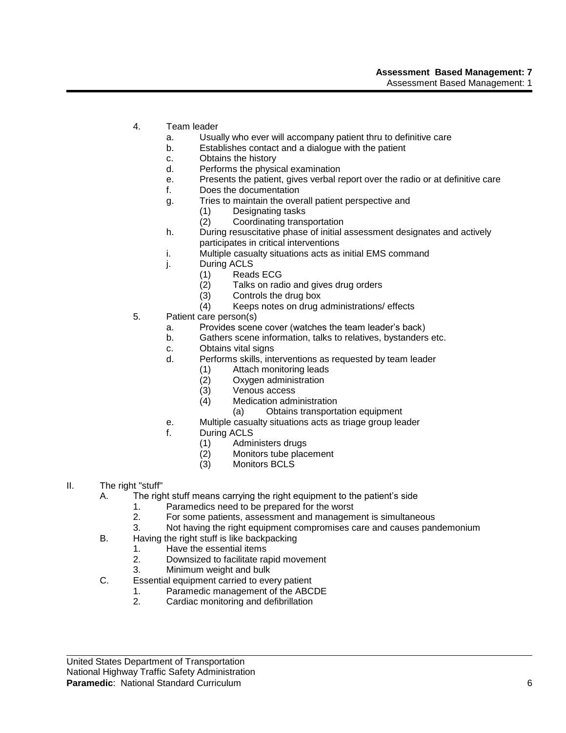- 4. Team leader
	- a. Usually who ever will accompany patient thru to definitive care
	- b. Establishes contact and a dialogue with the patient
	- c. Obtains the history
	- d. Performs the physical examination
	- e. Presents the patient, gives verbal report over the radio or at definitive care
	- f. Does the documentation
	- g. Tries to maintain the overall patient perspective and
		- (1) Designating tasks
		- (2) Coordinating transportation
	- h. During resuscitative phase of initial assessment designates and actively participates in critical interventions
	- i. Multiple casualty situations acts as initial EMS command
	- j. During ACLS
		- (1) Reads ECG<br>(2) Talks on rad
		- Talks on radio and gives drug orders
		- (3) Controls the drug box
		- (4) Keeps notes on drug administrations/ effects
- 5. Patient care person(s)
	- a. Provides scene cover (watches the team leader's back)
	- b. Gathers scene information, talks to relatives, bystanders etc.
	- c. Obtains vital signs
	- d. Performs skills, interventions as requested by team leader
		- (1) Attach monitoring leads
		- (2) Oxygen administration<br>(3) Venous access
		- Venous access
		- (4) Medication administration
			- (a) Obtains transportation equipment
	- e. Multiple casualty situations acts as triage group leader
	- f. During ACLS
		- (1) Administers drugs<br>(2) Monitors tube plac
		- Monitors tube placement
		- (3) Monitors BCLS
- II. The right "stuff"
	- A. The right stuff means carrying the right equipment to the patient's side
		- 1. Paramedics need to be prepared for the worst
		- 2. For some patients, assessment and management is simultaneous
		- 3. Not having the right equipment compromises care and causes pandemonium
	- B. Having the right stuff is like backpacking
		- 1. Have the essential items
		- 2. Downsized to facilitate rapid movement
		- 3. Minimum weight and bulk
	- C. Essential equipment carried to every patient
		- 1. Paramedic management of the ABCDE
		- 2. Cardiac monitoring and defibrillation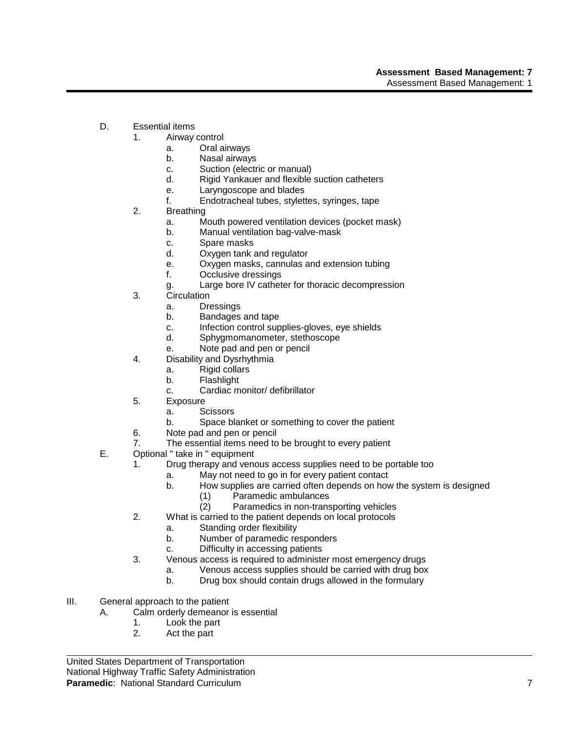- D. Essential items
	- 1. Airway control
		- a. Oral airways
		- b. Nasal airways
		- c. Suction (electric or manual)
		- d. Rigid Yankauer and flexible suction catheters
		- e. Laryngoscope and blades
		- f. Endotracheal tubes, stylettes, syringes, tape
	- 2. Breathing
		- a. Mouth powered ventilation devices (pocket mask)
		- b. Manual ventilation bag-valve-mask
		- c. Spare masks
		- d. Oxygen tank and regulator
		- e. Oxygen masks, cannulas and extension tubing
		- f. Occlusive dressings
		- g. Large bore IV catheter for thoracic decompression
	- 3. Circulation
		- a. Dressings
		- b. Bandages and tape
		- c. Infection control supplies-gloves, eye shields
		- d. Sphygmomanometer, stethoscope
		- e. Note pad and pen or pencil
	- 4. Disability and Dysrhythmia
		- a. Rigid collars
		- b. Flashlight
		- c. Cardiac monitor/ defibrillator
	- 5. Exposure
		- a. Scissors
		- b. Space blanket or something to cover the patient
	- 6. Note pad and pen or pencil
	- 7. The essential items need to be brought to every patient
- E. Optional " take in " equipment
	- 1. Drug therapy and venous access supplies need to be portable too
		- a. May not need to go in for every patient contact
		- b. How supplies are carried often depends on how the system is designed
			- (1) Paramedic ambulances
			- (2) Paramedics in non-transporting vehicles
	- 2. What is carried to the patient depends on local protocols
		- a. Standing order flexibility
		- b. Number of paramedic responders
		- c. Difficulty in accessing patients
	- 3. Venous access is required to administer most emergency drugs
		- a. Venous access supplies should be carried with drug box
			- b. Drug box should contain drugs allowed in the formulary
- III. General approach to the patient
	- A. Calm orderly demeanor is essential
		- 1. Look the part
		- 2. Act the part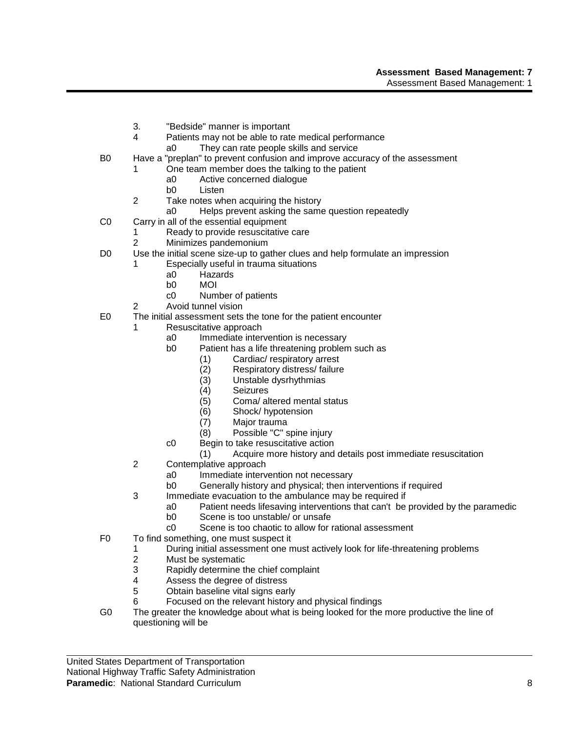- 3. "Bedside" manner is important
- 4 Patients may not be able to rate medical performance
	- a0 They can rate people skills and service
- B0 Have a "preplan" to prevent confusion and improve accuracy of the assessment
	- 1 One team member does the talking to the patient
		- a0 Active concerned dialogue
		- b0 Listen
	- 2 Take notes when acquiring the history
		- a0 Helps prevent asking the same question repeatedly
- C0 Carry in all of the essential equipment
	- 1 Ready to provide resuscitative care
	- 2 Minimizes pandemonium
- D0 Use the initial scene size-up to gather clues and help formulate an impression
	- Especially useful in trauma situations
		- a0 Hazards<br>b0 MOI
		- b0 MOI
		- c0 Number of patients
	- 2 Avoid tunnel vision
- E0 The initial assessment sets the tone for the patient encounter
	- 1 Resuscitative approach
		- a0 Immediate intervention is necessary
		- b0 Patient has a life threatening problem such as
			- (1) Cardiac/ respiratory arrest
			- (2) Respiratory distress/ failure<br>(3) Unstable dysrhythmias
			- Unstable dysrhythmias
			- (4) Seizures
			- (5) Coma/ altered mental status
			- (6) Shock/ hypotension
			- (7) Major trauma
			- (8) Possible "C" spine injury
		- c0 Begin to take resuscitative action
			- (1) Acquire more history and details post immediate resuscitation
	- 2 Contemplative approach<br>a0 Immediate interv
		- Immediate intervention not necessary
		- b0 Generally history and physical; then interventions if required
	- 3 Immediate evacuation to the ambulance may be required if
		- a0 Patient needs lifesaving interventions that can't be provided by the paramedic
		- b0 Scene is too unstable/ or unsafe
		- c0 Scene is too chaotic to allow for rational assessment
- F0 To find something, one must suspect it
	- 1 During initial assessment one must actively look for life-threatening problems
	- 2 Must be systematic<br>3 Rapidly determine the
	- 3 Rapidly determine the chief complaint<br>4 Assess the degree of distress
	- 4 Assess the degree of distress<br>5 Obtain baseline vital signs ear
	- Obtain baseline vital signs early
	- 6 Focused on the relevant history and physical findings
- G0 The greater the knowledge about what is being looked for the more productive the line of questioning will be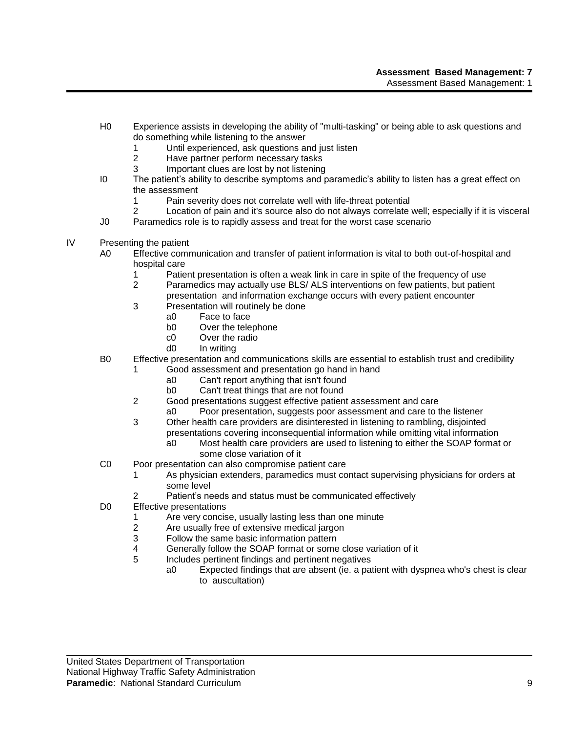- H0 Experience assists in developing the ability of "multi-tasking" or being able to ask questions and do something while listening to the answer
	- 1 Until experienced, ask questions and just listen
	- 2 Have partner perform necessary tasks
	- 3 Important clues are lost by not listening
- I0 The patient's ability to describe symptoms and paramedic's ability to listen has a great effect on the assessment
	- 1 Pain severity does not correlate well with life-threat potential
- 2 Location of pain and it's source also do not always correlate well; especially if it is visceral
- J0 Paramedics role is to rapidly assess and treat for the worst case scenario
- IV Presenting the patient
	- A0 Effective communication and transfer of patient information is vital to both out-of-hospital and hospital care
		- 1 Patient presentation is often a weak link in care in spite of the frequency of use<br>2 Paramedics may actually use BLS/ALS interventions on few patients, but patient
		- Paramedics may actually use BLS/ ALS interventions on few patients, but patient presentation and information exchange occurs with every patient encounter
		- 3 Presentation will routinely be done
			- a0 Face to face
			- b0 Over the telephone
			- c0 Over the radio
			- d0 In writing
	- B0 Effective presentation and communications skills are essential to establish trust and credibility
		- 1 Good assessment and presentation go hand in hand
			- a0 Can't report anything that isn't found
			- b0 Can't treat things that are not found
		- 2 Good presentations suggest effective patient assessment and care
			- a0 Poor presentation, suggests poor assessment and care to the listener
		- 3 Other health care providers are disinterested in listening to rambling, disjointed presentations covering inconsequential information while omitting vital information
			- a0 Most health care providers are used to listening to either the SOAP format or some close variation of it
	- C0 Poor presentation can also compromise patient care
		- 1 As physician extenders, paramedics must contact supervising physicians for orders at some level
		- 2 Patient's needs and status must be communicated effectively
	- D0 Effective presentations
		- 1 Are very concise, usually lasting less than one minute
		- 2 Are usually free of extensive medical jargon
		- 3 Follow the same basic information pattern
		- 4 Generally follow the SOAP format or some close variation of it
		- 5 Includes pertinent findings and pertinent negatives
			- a0 Expected findings that are absent (ie. a patient with dyspnea who's chest is clear to auscultation)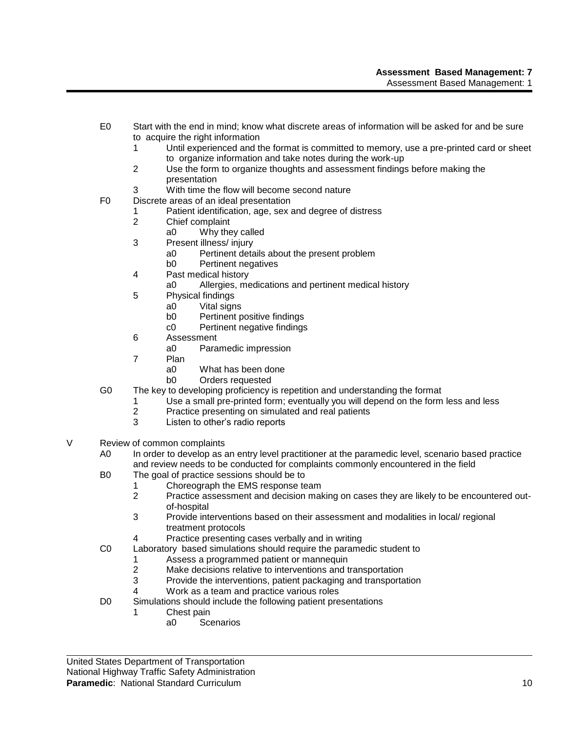- E0 Start with the end in mind; know what discrete areas of information will be asked for and be sure to acquire the right information
	- 1 Until experienced and the format is committed to memory, use a pre-printed card or sheet to organize information and take notes during the work-up
	- 2 Use the form to organize thoughts and assessment findings before making the presentation
	- 3 With time the flow will become second nature
- F0 Discrete areas of an ideal presentation
	- 1 Patient identification, age, sex and degree of distress
	- 2 Chief complaint
		- a0 Why they called
	- 3 Present illness/ injury
		- a0 Pertinent details about the present problem
		- b0 Pertinent negatives
	- 4 Past medical history
		- a0 Allergies, medications and pertinent medical history
	- 5 Physical findings
		- a0 Vital signs
		- b0 Pertinent positive findings
		- c0 Pertinent negative findings
	- 6 Assessment
		- a0 Paramedic impression
	- 7 Plan
		- a0 What has been done
		- b0 Orders requested
- G0 The key to developing proficiency is repetition and understanding the format
	- 1 Use a small pre-printed form; eventually you will depend on the form less and less
	- 2 Practice presenting on simulated and real patients
	- Listen to other's radio reports
- V Review of common complaints
	- A0 In order to develop as an entry level practitioner at the paramedic level, scenario based practice and review needs to be conducted for complaints commonly encountered in the field
	- B0 The goal of practice sessions should be to
		- 1 Choreograph the EMS response team
			- 2 Practice assessment and decision making on cases they are likely to be encountered outof-hospital
			- 3 Provide interventions based on their assessment and modalities in local/ regional treatment protocols
			- 4 Practice presenting cases verbally and in writing
	- C0 Laboratory based simulations should require the paramedic student to
		- 1 Assess a programmed patient or mannequin
		- 2 Make decisions relative to interventions and transportation<br>3 Provide the interventions, patient packaging and transporta
		- Provide the interventions, patient packaging and transportation
		- 4 Work as a team and practice various roles
	- D0 Simulations should include the following patient presentations
		- 1 Chest pain
			- a0 Scenarios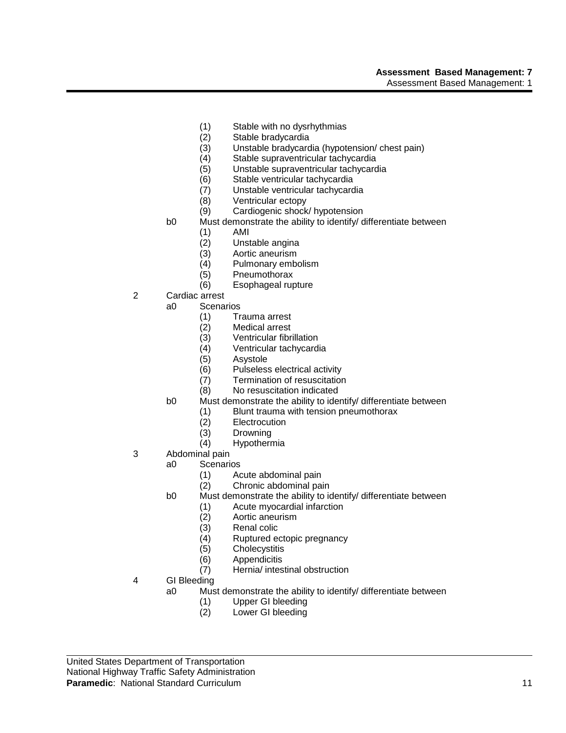#### **Assessment Based Management: 7** Assessment Based Management: 1

- (1) Stable with no dysrhythmias
- (2) Stable bradycardia
- (3) Unstable bradycardia (hypotension/ chest pain)
- (4) Stable supraventricular tachycardia
- (5) Unstable supraventricular tachycardia
- (6) Stable ventricular tachycardia
- (7) Unstable ventricular tachycardia
- (8) Ventricular ectopy
- (9) Cardiogenic shock/ hypotension
- b0 Must demonstrate the ability to identify/ differentiate between
	- (1) AMI
	- (2) Unstable angina
	- (3) Aortic aneurism
	- (4) Pulmonary embolism
	- (5) Pneumothorax
	- (6) Esophageal rupture
- 2 Cardiac arrest
	- a0 Scenarios
		- (1) Trauma arrest
		- (2) Medical arrest
		- (3) Ventricular fibrillation
		- (4) Ventricular tachycardia
		- (5) Asystole
		- (6) Pulseless electrical activity
		- (7) Termination of resuscitation
		- (8) No resuscitation indicated
	- b0 Must demonstrate the ability to identify/ differentiate between
		- (1) Blunt trauma with tension pneumothorax
		- (2) Electrocution
		- (3) Drowning<br>(4) Hypotherr
			- **Hypothermia**
- 3 Abdominal pain
	- a0 Scenarios
		- (1) Acute abdominal pain
		- (2) Chronic abdominal pain
	- b0 Must demonstrate the ability to identify/ differentiate between
		- (1) Acute myocardial infarction
		- (2) Aortic aneurism
		- (3) Renal colic
		- (4) Ruptured ectopic pregnancy
		- (5) Cholecystitis
		- (6) Appendicitis
		- (7) Hernia/ intestinal obstruction
- 4 GI Bleeding
	- a0 Must demonstrate the ability to identify/ differentiate between
		- (1) Upper GI bleeding
		- (2) Lower GI bleeding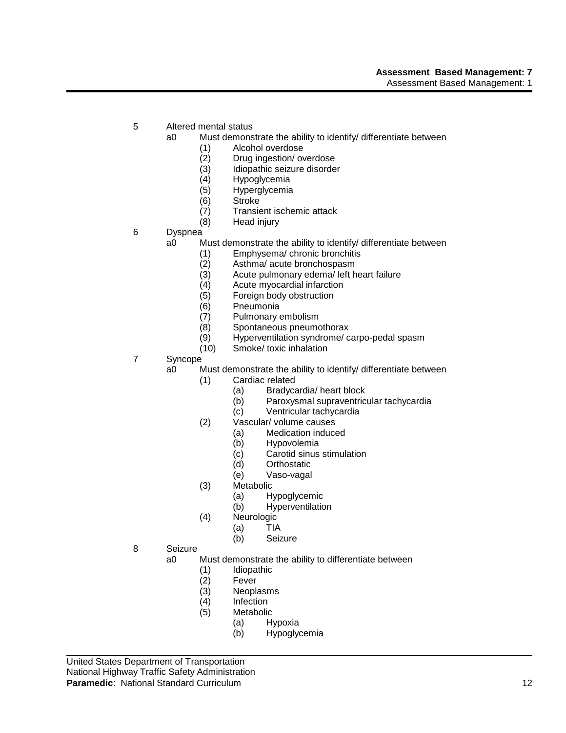- 5 Altered mental status
	- a0 Must demonstrate the ability to identify/ differentiate between
		- (1) Alcohol overdose
		- (2) Drug ingestion/overdose<br>(3) Idiopathic seizure disorde
		- (3) Idiopathic seizure disorder<br>(4) Hypoglycemia
		- (4) Hypoglycemia
		- Hyperglycemia
		- (6) Stroke
		- (7) Transient ischemic attack
		- (8) Head injury
- 6 Dyspnea
	- a0 Must demonstrate the ability to identify/ differentiate between
		- (1) Emphysema/ chronic bronchitis
		-
		- (2) Asthma/ acute bronchospasm<br>(3) Acute pulmonary edema/ left h  $(3)$  Acute pulmonary edema<sup> $\sqrt{1}$ </sup> left heart failure (4) Acute myocardial infarction
		- Acute myocardial infarction
		- (5) Foreign body obstruction
		- (6) Pneumonia
		- (7) Pulmonary embolism
		- (8) Spontaneous pneumothorax
		- (9) Hyperventilation syndrome/ carpo-pedal spasm
		- (10) Smoke/ toxic inhalation
- 7 Syncope

a0 Must demonstrate the ability to identify/ differentiate between

- (1) Cardiac related
	- (a) Bradycardia/ heart block
	- (b) Paroxysmal supraventricular tachycardia
	- (c) Ventricular tachycardia
- (2) Vascular/ volume causes
	- (a) Medication induced
	- (b) Hypovolemia
	- (c) Carotid sinus stimulation
	- (d) Orthostatic
	- (e) Vaso-vagal
- (3) Metabolic
	- (a) Hypoglycemic
	- (b) Hyperventilation
- (4) Neurologic
	- (a) TIA
		- (b) Seizure
- 8 Seizure
	- a0 Must demonstrate the ability to differentiate between
		- (1) Idiopathic<br>(2) Fever
		- (2) Fever
		- Neoplasms
		- (4) Infection
		- (5) Metabolic
			- (a) Hypoxia
				- (b) Hypoglycemia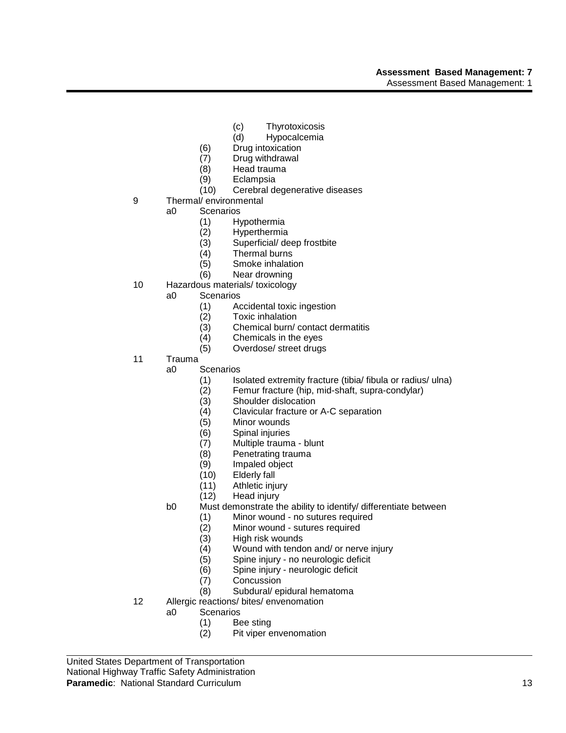- (c) Thyrotoxicosis
- (d) Hypocalcemia
- (6) Drug intoxication
- (7) Drug withdrawal
- (8) Head trauma
- (9) Eclampsia
- (10) Cerebral degenerative diseases
- 9 Thermal/ environmental<br>a0 Scenarios
	- **Scenarios** 
		- (1) Hypothermia
		- (2) Hyperthermia
		- (3) Superficial/ deep frostbite
		- (4) Thermal burns
		- (5) Smoke inhalation
		- (6) Near drowning
- 10 Hazardous materials/ toxicology
	- a0 Scenarios
		- (1) Accidental toxic ingestion
		- Toxic inhalation
		- (3) Chemical burn/ contact dermatitis
		- (4) Chemicals in the eyes
		- (5) Overdose/ street drugs
- 11 Trauma
	- a0 Scenarios
		- (1) Isolated extremity fracture (tibia/ fibula or radius/ ulna)
		- (2) Femur fracture (hip, mid-shaft, supra-condylar)
		- (3) Shoulder dislocation
		- (4) Clavicular fracture or A-C separation
		- (5) Minor wounds
		- (6) Spinal injuries
		- (7) Multiple trauma blunt
		- Penetrating trauma
		- (9) Impaled object
		- (10) Elderly fall
		- (11) Athletic injury
		- (12) Head injury
		- b0 Must demonstrate the ability to identify/ differentiate between
			- (1) Minor wound no sutures required
			- (2) Minor wound sutures required
			- (3) High risk wounds
			- (4) Wound with tendon and/ or nerve injury
			-
			- (5) Spine injury no neurologic deficit Spine injury - neurologic deficit
			- (7) Concussion
			- (8) Subdural/ epidural hematoma
- 12 Allergic reactions/ bites/ envenomation
	- a0 Scenarios
		- (1) Bee sting
		- (2) Pit viper envenomation